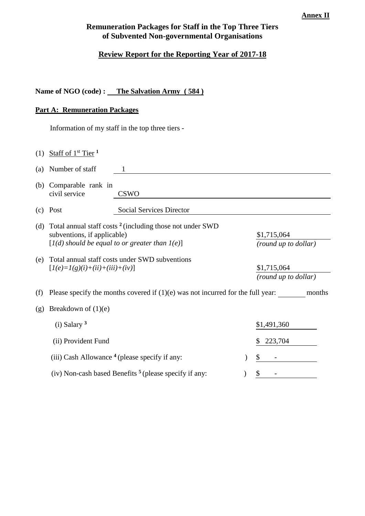#### **Annex II**

# **Remuneration Packages for Staff in the Top Three Tiers of Subvented Non-governmental Organisations**

# **Review Report for the Reporting Year of 2017-18**

## **Name of NGO (code) : The Salvation Army ( 584 )**

## **Part A: Remuneration Packages**

Information of my staff in the top three tiers -

| (1) | Staff of $1st$ Tier <sup>1</sup>                                                                                                                           |                                                          |  |                                     |  |  |
|-----|------------------------------------------------------------------------------------------------------------------------------------------------------------|----------------------------------------------------------|--|-------------------------------------|--|--|
| (a) | Number of staff                                                                                                                                            | 1                                                        |  |                                     |  |  |
| (b) | Comparable rank in<br>civil service                                                                                                                        | <b>CSWO</b>                                              |  |                                     |  |  |
| (c) | Post                                                                                                                                                       | <b>Social Services Director</b>                          |  |                                     |  |  |
| (d) | Total annual staff costs <sup>2</sup> (including those not under SWD<br>subventions, if applicable)<br>$[I(d)$ should be equal to or greater than $I(e)$ ] |                                                          |  | \$1,715,064<br>(round up to dollar) |  |  |
| (e) | $[I(e)=I(g)(i)+(ii)+(iii)+(iv)]$                                                                                                                           | Total annual staff costs under SWD subventions           |  | \$1,715,064<br>(round up to dollar) |  |  |
| (f) | Please specify the months covered if $(1)(e)$ was not incurred for the full year:<br>months                                                                |                                                          |  |                                     |  |  |
| (g) | Breakdown of $(1)(e)$                                                                                                                                      |                                                          |  |                                     |  |  |
|     | $(i)$ Salary $3$                                                                                                                                           |                                                          |  | \$1,491,360                         |  |  |
|     | (ii) Provident Fund                                                                                                                                        |                                                          |  | 223,704<br>\$                       |  |  |
|     |                                                                                                                                                            | (iii) Cash Allowance $4$ (please specify if any:         |  | \$                                  |  |  |
|     |                                                                                                                                                            | (iv) Non-cash based Benefits $5$ (please specify if any: |  | \$                                  |  |  |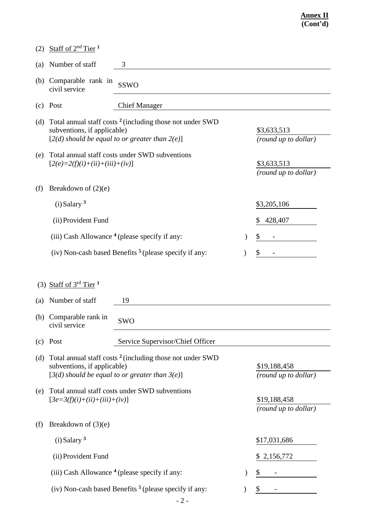| (2) | Staff of $2nd$ Tier <sup>1</sup>                                                                                                                           |               |                                      |
|-----|------------------------------------------------------------------------------------------------------------------------------------------------------------|---------------|--------------------------------------|
| (a) | Number of staff<br>3                                                                                                                                       |               |                                      |
| (b) | Comparable rank in<br><b>SSWO</b><br>civil service                                                                                                         |               |                                      |
| (c) | <b>Chief Manager</b><br>Post                                                                                                                               |               |                                      |
| (d) | Total annual staff costs <sup>2</sup> (including those not under SWD<br>subventions, if applicable)<br>$[2(d)$ should be equal to or greater than $2(e)$ ] |               | \$3,633,513<br>(round up to dollar)  |
| (e) | Total annual staff costs under SWD subventions<br>$[2(e)=2(f)(i)+(ii)+(iii)+(iv)]$                                                                         |               | \$3,633,513<br>(round up to dollar)  |
| (f) | Breakdown of $(2)(e)$                                                                                                                                      |               |                                      |
|     | $(i)$ Salary $3$                                                                                                                                           |               | \$3,205,106                          |
|     | (ii) Provident Fund                                                                                                                                        |               | 428,407<br>\$                        |
|     | (iii) Cash Allowance <sup>4</sup> (please specify if any:                                                                                                  | $\mathcal{Y}$ | \$                                   |
|     | (iv) Non-cash based Benefits $5$ (please specify if any:                                                                                                   |               | \$                                   |
|     |                                                                                                                                                            |               |                                      |
| (a) | (3) Staff of $3^{rd}$ Tier <sup>1</sup><br>Number of staff<br>19<br>(b) Comparable rank in                                                                 |               |                                      |
|     | <b>SWO</b><br>civil service                                                                                                                                |               |                                      |
| (c) | Post<br>Service Supervisor/Chief Officer                                                                                                                   |               |                                      |
| (d) | Total annual staff costs <sup>2</sup> (including those not under SWD<br>subventions, if applicable)<br>$[3(d)$ should be equal to or greater than $3(e)$ ] |               | \$19,188,458<br>(round up to dollar) |
| (e) | Total annual staff costs under SWD subventions<br>$[3e=3(f)(i)+(ii)+(iii)+(iv)]$                                                                           |               | \$19,188,458<br>(round up to dollar) |
| (f) | Breakdown of $(3)(e)$                                                                                                                                      |               |                                      |
|     | $(i)$ Salary $3$                                                                                                                                           |               | \$17,031,686                         |
|     | (ii) Provident Fund                                                                                                                                        |               | 2,156,772<br>S.                      |
|     | (iii) Cash Allowance <sup>4</sup> (please specify if any:                                                                                                  |               | S                                    |